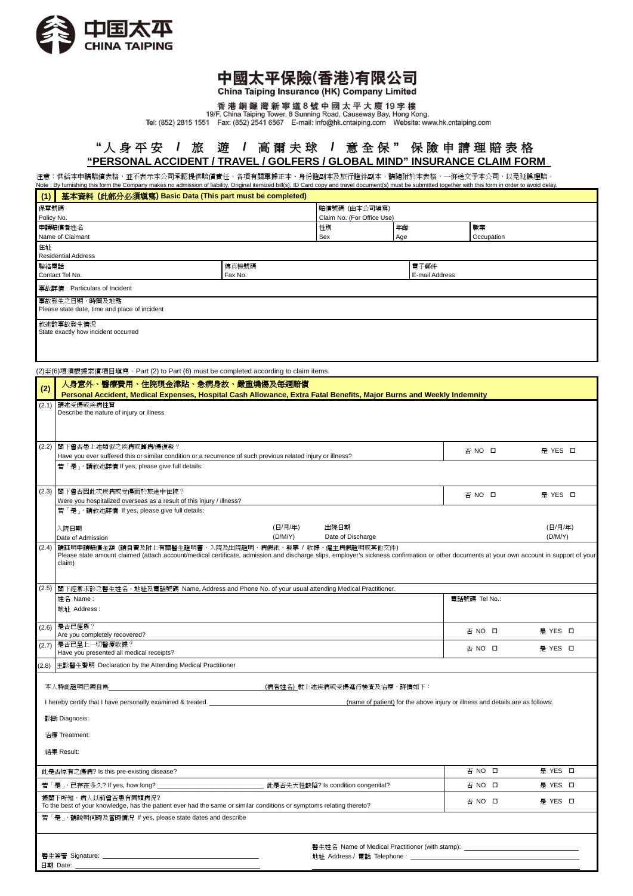

## 中國太平保險(香港)有限公司

China Taiping Insurance (HK) Company Limited

香港銅鑼灣新寧道8號中國太平大廈19字樓<br>19/F, China Taiping Tower, 8 Sunning Road, Causeway Bay, Hong Kong.<br>Tel: (852) 2815 1551 Fax: (852) 2541 6567 E-mail: info@hk.cntaiping.com Website: www.hk.cntaiping.com

## **"** 人 身 平 安 **/** 旅 遊 **/** 高 爾 夫 球 **/** 意 全 保 **"** 保 險 申 請 理 賠 表 格 **"PERSONAL ACCIDENT / TRAVEL / GOLFERS / GLOBAL MIND" INSURANCE CLAIM FORM**

注意:供給本申請賠償表格,並不表示本公司承認提供賠償責任。各項有關單據正本、身份證副本及旅行證件副本,請隨附於本表格,一併送交予本公司,以免延誤理賠。<br>Note : By furnishing this form the Company makes no admission of liability. Original itemized bill(s), ID Card copy and travel document(s) must b

| (1) 基本資料 (此部分必須塡寫) Basic Data (This part must be completed)    |                  |                                             |                        |            |  |
|----------------------------------------------------------------|------------------|---------------------------------------------|------------------------|------------|--|
| 保單號碼<br>Policy No.                                             |                  | 賠償號碼 (由本公司填寫)<br>Claim No. (For Office Use) |                        |            |  |
| 申請賠償者姓名                                                        |                  | 性別                                          | 年齡                     | 職業         |  |
| Name of Claimant<br>住址<br><b>Residential Address</b>           |                  | Sex                                         | Age                    | Occupation |  |
| 聯絡電話<br>Contact Tel No.                                        | 傳真機號碼<br>Fax No. |                                             | 電子郵件<br>E-mail Address |            |  |
| 事故詳情<br>Particulars of Incident                                |                  |                                             |                        |            |  |
| 事故發生之日期、時間及地點<br>Please state date, time and place of incident |                  |                                             |                        |            |  |
| 敘述該事故發生情況<br>State exactly how incident occurred               |                  |                                             |                        |            |  |

(2)至(6)項須根據索償項目填寫。Part (2) to Part (6) must be completed according to claim items.

| (2) | 人身意外、醫療費用、住院現金津貼、急病身故、嚴重燒傷及每週賠償<br>Personal Accident, Medical Expenses, Hospital Cash Allowance, Extra Fatal Benefits, Major Burns and Weekly Indemnity                                    |        |         |
|-----|--------------------------------------------------------------------------------------------------------------------------------------------------------------------------------------------|--------|---------|
|     | (2.1) 請述受傷或疾病性質<br>Describe the nature of injury or illness                                                                                                                                |        |         |
|     | (2.2) 閣下曾否患上述類似之疾病或舊病/傷復發?<br>Have you ever suffered this or similar condition or a recurrence of such previous related injury or illness?<br>若「是」,請敘述詳情 If yes, please give full details: | 否 NO 口 | 是 YES L |

| (2.3)                                                   | 閣下曾否因此次疾病或受傷而於旅途中住院?                                                                                                                                                                                                                                              | 否 NO 口        |  | 是 YES 口 |  |
|---------------------------------------------------------|-------------------------------------------------------------------------------------------------------------------------------------------------------------------------------------------------------------------------------------------------------------------|---------------|--|---------|--|
|                                                         | Were you hospitalized overseas as a result of this injury / illness?<br>若「是」,請敘述詳情 If yes, please give full details:                                                                                                                                              |               |  |         |  |
|                                                         |                                                                                                                                                                                                                                                                   |               |  |         |  |
|                                                         | (日/月/年)<br>出院日期<br>入院日期                                                                                                                                                                                                                                           |               |  | (日/月/年) |  |
|                                                         | (D/M/Y)<br>Date of Discharge<br>Date of Admission                                                                                                                                                                                                                 |               |  | (D/M/Y) |  |
| (2.4)                                                   | 請註明申請賠償金額 (請自費及附上有關醫生證明書、入院及出院證明、病假紙、發票 / 收據、僱主病假證明或其他文件)<br>Please state amount claimed (attach account/medical certificate, admission and discharge slips, employer's sickness confirmation or other documents at your own account in support of your<br>claim) |               |  |         |  |
| (2.5)                                                   | 閣下經常求診之醫生姓名、地址及電話號碼 Name, Address and Phone No. of your usual attending Medical Practitioner.                                                                                                                                                                     |               |  |         |  |
|                                                         | 姓名 Name:                                                                                                                                                                                                                                                          | 電話號碼 Tel No.: |  |         |  |
|                                                         | 地址 Address:                                                                                                                                                                                                                                                       |               |  |         |  |
|                                                         | (2.6) 是否已痊癒?<br>Are you completely recovered?                                                                                                                                                                                                                     | 否 NO □        |  | 是 YES □ |  |
|                                                         | (2.7) 是否已呈上一切醫療收據?                                                                                                                                                                                                                                                | 否 NO □        |  | 是 YES □ |  |
|                                                         | Have you presented all medical receipts?                                                                                                                                                                                                                          |               |  |         |  |
|                                                         | (2.8) 主診醫生聲明 Declaration by the Attending Medical Practitioner                                                                                                                                                                                                    |               |  |         |  |
|                                                         | 本人特此證明已親自爲<br>(病者姓名)就上述疾病或受傷進行檢查及治療,詳情如下:                                                                                                                                                                                                                         |               |  |         |  |
|                                                         | I hereby certify that I have personally examined & treated ______<br>(name of patient) for the above injury or illness and details are as follows:                                                                                                                |               |  |         |  |
| 診斷 Diagnosis:                                           |                                                                                                                                                                                                                                                                   |               |  |         |  |
|                                                         | 治療 Treatment:                                                                                                                                                                                                                                                     |               |  |         |  |
|                                                         | 結果 Result:                                                                                                                                                                                                                                                        |               |  |         |  |
|                                                         | 此是否原有之傷病? Is this pre-existing disease?                                                                                                                                                                                                                           | 否 NO 口        |  | 是 YES □ |  |
|                                                         | 此是否先天性缺陷? Is condition congenital?<br>若「是」, 已存在多久? If yes, how long? _                                                                                                                                                                                            | 否 NO 口        |  | 是 YES □ |  |
|                                                         | 據閣下所知,病人以前曾否患有同類病況?<br>To the best of your knowledge, has the patient ever had the same or similar conditions or symptoms relating thereto?                                                                                                                       | 否 NO □        |  | 是 YES □ |  |
| 若「是」,請說明何時及當時情況 If yes, please state dates and describe |                                                                                                                                                                                                                                                                   |               |  |         |  |
|                                                         | 醫生姓名 Name of Medical Practitioner (with stamp):                                                                                                                                                                                                                   |               |  |         |  |

 $\overline{a}$ 

醫生簽署 Signature: 日期 Date:

地址 Address / 電話 Telephone :